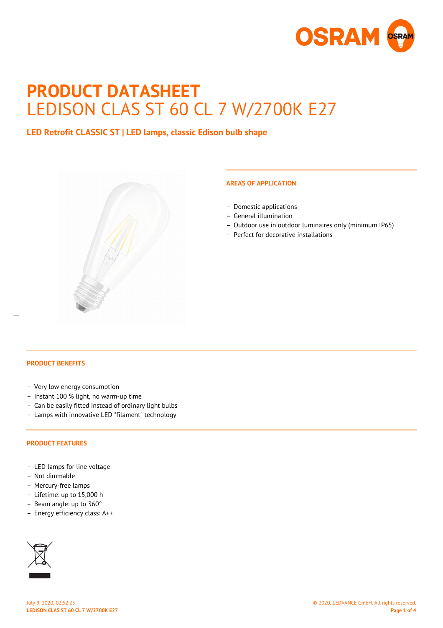

# **PRODUCT DATASHEET** LEDISON CLAS ST 60 CL 7 W/2700K E27

**LED Retrofit CLASSIC ST | LED lamps, classic Edison bulb shape**



## **AREAS OF APPLICATION**

- Domestic applications
- General illumination
- Outdoor use in outdoor luminaires only (minimum IP65)
- Perfect for decorative installations

 $\overline{a}$ 

- Very low energy consumption
- Instant 100 % light, no warm-up time
- Can be easily fitted instead of ordinary light bulbs
- Lamps with innovative LED "filament" technology

#### **PRODUCT FEATURES**

- LED lamps for line voltage
- Not dimmable
- Mercury-free lamps
- Lifetime: up to 15,000 h
- Beam angle: up to 360°
- Energy efficiency class: A++

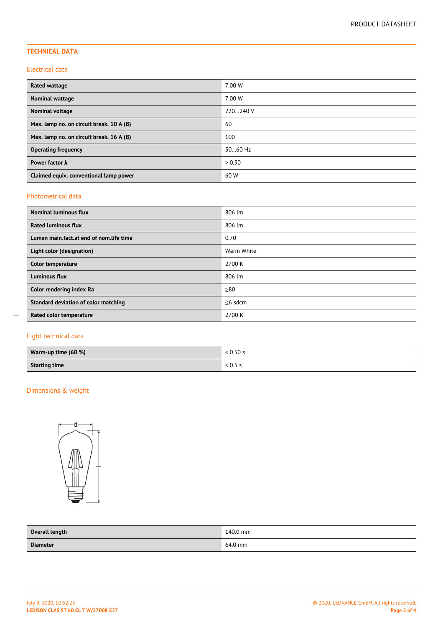# **TECHNICAL DATA**

#### Electrical data

| Rated wattage                            | 7.00 W   |
|------------------------------------------|----------|
| Nominal wattage                          | 7.00 W   |
| Nominal voltage                          | 220240 V |
| Max. lamp no. on circuit break. 10 A (B) | 60       |
| Max. lamp no. on circuit break. 16 A (B) | 100      |
| <b>Operating frequency</b>               | 5060 Hz  |
| Power factor $\lambda$                   | > 0.50   |
| Claimed equiv. conventional lamp power   | 60 W     |

#### Photometrical data

| <b>Nominal luminous flux</b>            | 806 lm     |
|-----------------------------------------|------------|
| <b>Rated luminous flux</b>              | 806 lm     |
| Lumen main.fact.at end of nom.life time | 0.70       |
| Light color (designation)               | Warm White |
| Color temperature                       | 2700 K     |
| <b>Luminous flux</b>                    | 806 lm     |
| Color rendering index Ra                | $\geq 80$  |
| Standard deviation of color matching    | $<$ 6 sdcm |
| Rated color temperature                 | 2700 K     |

# Light technical data

 $\overline{a}$ 

| Warm-up time (60 %)  | 0.50 s                   |
|----------------------|--------------------------|
| <b>Starting time</b> | $\sim$ $\cap$<br>< U.5 - |

# Dimensions & weight



| Overall length  | 140.0 mm |
|-----------------|----------|
| <b>Diameter</b> | 64.0 mm  |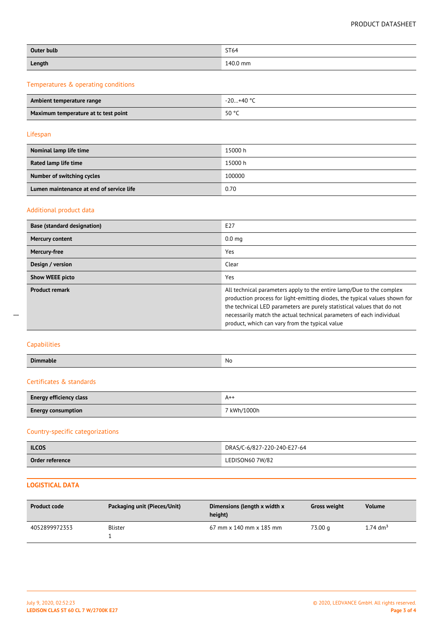## PRODUCT DATASHEET

| Outer bulb | ST64     |
|------------|----------|
| Length     | 140.0 mm |

## Temperatures & operating conditions

| Ambient temperature range            | -20…+40 °C |
|--------------------------------------|------------|
| Maximum temperature at tc test point | 50 °C      |

#### Lifespan

| Nominal lamp life time                   | 15000 h |
|------------------------------------------|---------|
| Rated lamp life time                     | 15000 h |
| Number of switching cycles               | 100000  |
| Lumen maintenance at end of service life | 0.70    |

## Additional product data

| <b>Base (standard designation)</b> | E27                                                                                                                                                                                                                                                                                                                                                    |  |  |
|------------------------------------|--------------------------------------------------------------------------------------------------------------------------------------------------------------------------------------------------------------------------------------------------------------------------------------------------------------------------------------------------------|--|--|
| Mercury content                    | 0.0 <sub>mg</sub>                                                                                                                                                                                                                                                                                                                                      |  |  |
| Mercury-free                       | Yes                                                                                                                                                                                                                                                                                                                                                    |  |  |
| Design / version                   | Clear                                                                                                                                                                                                                                                                                                                                                  |  |  |
| <b>Show WEEE picto</b>             | Yes                                                                                                                                                                                                                                                                                                                                                    |  |  |
| <b>Product remark</b>              | All technical parameters apply to the entire lamp/Due to the complex<br>production process for light-emitting diodes, the typical values shown for<br>the technical LED parameters are purely statistical values that do not<br>necessarily match the actual technical parameters of each individual<br>product, which can vary from the typical value |  |  |

# Capabilities

 $\overline{a}$ 

| <b>Dimm</b> | N0 |
|-------------|----|
|             |    |

## Certificates & standards

| Energy efficiency class   | $A^{++}$               |
|---------------------------|------------------------|
| <b>Energy consumption</b> | <sup>7</sup> kWh/1000h |

# Country-specific categorizations

| <b>ILCOS</b>    | DRAS/C-6/827-220-240-E27-64 |
|-----------------|-----------------------------|
| Order reference | LEDISON60 7W/82             |

# **LOGISTICAL DATA**

| <b>Product code</b> | Packaging unit (Pieces/Unit) | Dimensions (length x width x<br>height)                     | <b>Gross weight</b> | <b>Volume</b>    |
|---------------------|------------------------------|-------------------------------------------------------------|---------------------|------------------|
| 4052899972353       | <b>Blister</b>               | $67 \text{ mm} \times 140 \text{ mm} \times 185 \text{ mm}$ | 73.00 a             | 1.74 $\rm{dm}^3$ |